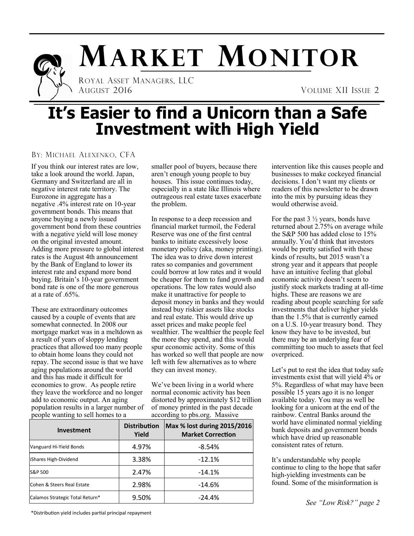

# **MARKET MONITOR**

 ROYAL ASSET MANAGERS, LLC AUGUST 2016 VOLUME XII ISSUE 2

# **It's Easier to find a Unicorn than a Safe Investment with High Yield**

#### BY: MICHAEL ALEXENKO, CFA

If you think our interest rates are low, take a look around the world. Japan, Germany and Switzerland are all in negative interest rate territory. The Eurozone in aggregate has a negative .4% interest rate on 10-year government bonds. This means that anyone buying a newly issued government bond from these countries with a negative yield will lose money on the original invested amount. Adding more pressure to global interest rates is the August 4th announcement by the Bank of England to lower its interest rate and expand more bond buying. Britain's 10-year government bond rate is one of the more generous at a rate of .65%.

These are extraordinary outcomes caused by a couple of events that are somewhat connected. In 2008 our mortgage market was in a meltdown as a result of years of sloppy lending practices that allowed too many people to obtain home loans they could not repay. The second issue is that we have aging populations around the world and this has made it difficult for economies to grow. As people retire they leave the workforce and no longer add to economic output. An aging population results in a larger number of people wanting to sell homes to a

smaller pool of buyers, because there aren't enough young people to buy houses. This issue continues today, especially in a state like Illinois where outrageous real estate taxes exacerbate the problem.

In response to a deep recession and financial market turmoil, the Federal Reserve was one of the first central banks to initiate excessively loose monetary policy (aka, money printing). The idea was to drive down interest rates so companies and government could borrow at low rates and it would be cheaper for them to fund growth and operations. The low rates would also make it unattractive for people to deposit money in banks and they would instead buy riskier assets like stocks and real estate. This would drive up asset prices and make people feel wealthier. The wealthier the people feel the more they spend, and this would spur economic activity. Some of this has worked so well that people are now left with few alternatives as to where they can invest money.

We've been living in a world where normal economic activity has been distorted by approximately \$12 trillion of money printed in the past decade according to pbs.org. Massive

| <b>Investment</b>               | <b>Distribution</b><br>Yield | Max % lost during 2015/2016<br><b>Market Correction</b> |
|---------------------------------|------------------------------|---------------------------------------------------------|
| Vanguard Hi-Yield Bonds         | 4.97%                        | $-8.54%$                                                |
| iShares High-Dividend           | 3.38%                        | $-12.1%$                                                |
| S&P 500                         | 2.47%                        | $-14.1%$                                                |
| Cohen & Steers Real Estate      | 2.98%                        | $-14.6%$                                                |
| Calamos Strategic Total Return* | 9.50%                        | $-24.4%$                                                |

intervention like this causes people and businesses to make cockeyed financial decisions. I don't want my clients or readers of this newsletter to be drawn into the mix by pursuing ideas they would otherwise avoid.

For the past  $3\frac{1}{2}$  years, bonds have returned about 2.75% on average while the S&P 500 has added close to 15% annually. You'd think that investors would be pretty satisfied with these kinds of results, but 2015 wasn't a strong year and it appears that people have an intuitive feeling that global economic activity doesn't seem to justify stock markets trading at all-time highs. These are reasons we are reading about people searching for safe investments that deliver higher yields than the 1.5% that is currently earned on a U.S. 10-year treasury bond. They know they have to be invested, but there may be an underlying fear of committing too much to assets that feel overpriced.

Let's put to rest the idea that today safe investments exist that will yield 4% or 5%. Regardless of what may have been possible 15 years ago it is no longer available today. You may as well be looking for a unicorn at the end of the rainbow. Central Banks around the world have eliminated normal yielding bank deposits and government bonds which have dried up reasonable consistent rates of return.

It's understandable why people continue to cling to the hope that safer high-yielding investments can be found. Some of the misinformation is

*See "Low Risk?" page 2*